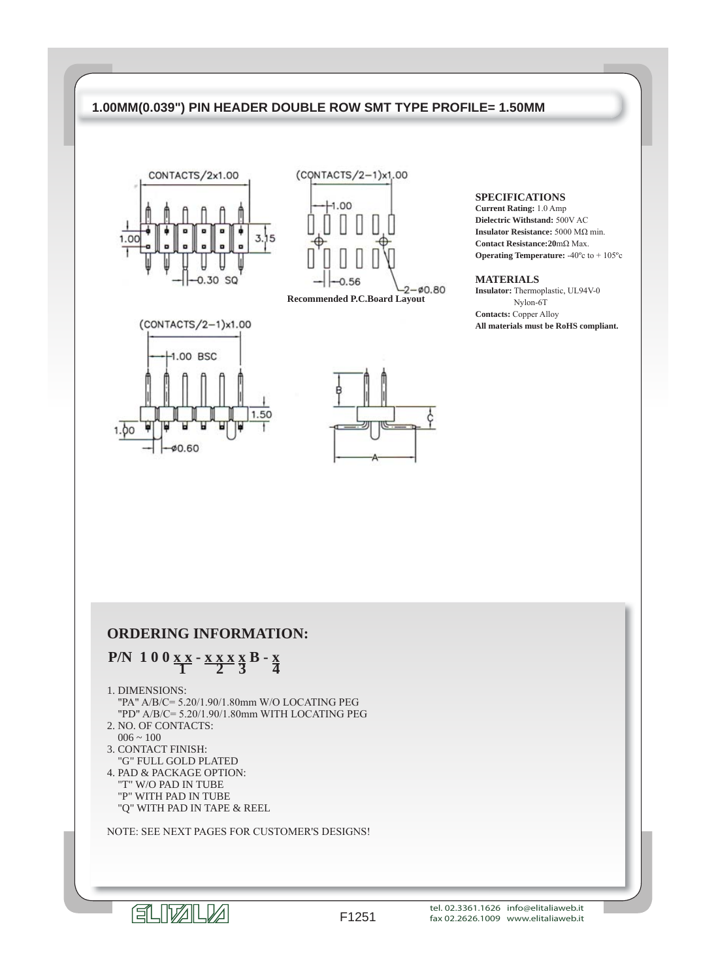



**Recommended P.C.Board Layout**





### **SPECIFICATIONS**

**Current Rating:** 1.0 Amp **Dielectric Withstand:** 500V AC **Insulator Resistance:** 5000 MΩ min. **Contact Resistance:20**mΩ Max. **Operating Temperature:** -40ºc to + 105ºc

### **MATERIALS**

**Insulator:** Thermoplastic, UL94V-0 Nylon-6T **Contacts:** Copper Alloy **All materials must be RoHS compliant.**

## **ORDERING INFORMATION:**

## **P/N** 1 0 0  $\underline{x} \times x - \underline{x} \times x \times \underline{x} \times B - \underline{x} \times A$

1. DIMENSIONS:

 "PA" A/B/C= 5.20/1.90/1.80mm W/O LOCATING PEG "PD" A/B/C= 5.20/1.90/1.80mm WITH LOCATING PEG

- 2. NO. OF CONTACTS:  $006 \approx 100$
- 3. CONTACT FINISH:
- "G" FULL GOLD PLATED 4. PAD & PACKAGE OPTION:
- "T" W/O PAD IN TUBE "P" WITH PAD IN TUBE "Q" WITH PAD IN TAPE & REEL

NOTE: SEE NEXT PAGES FOR CUSTOMER'S DESIGNS!

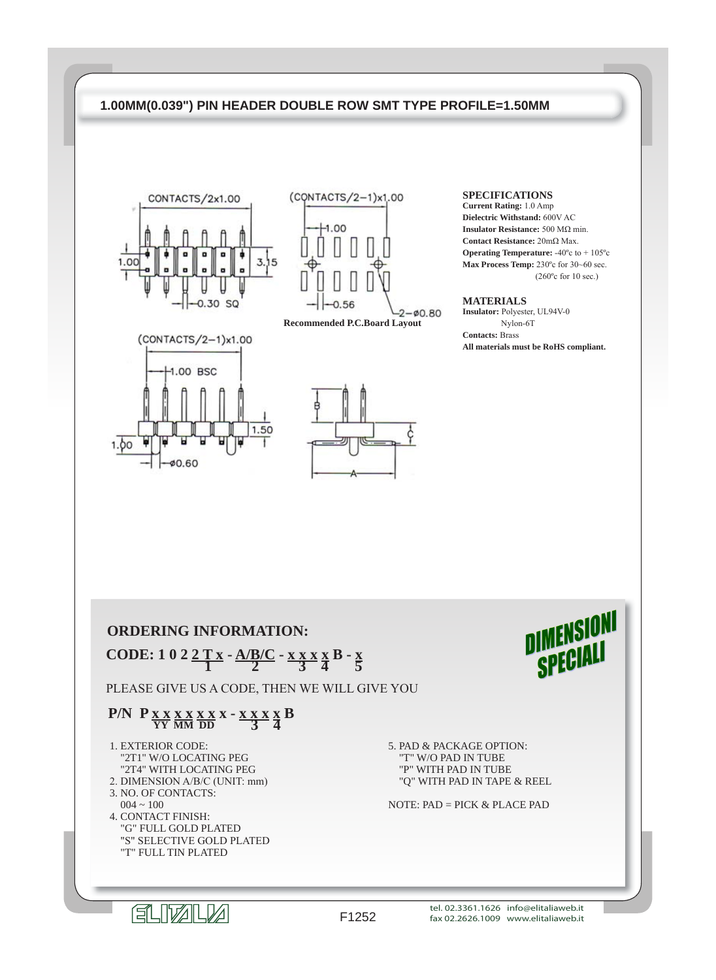



**Recommended P.C.Board Layout**





**SPECIFICATIONS**

**Current Rating:** 1.0 Amp **Dielectric Withstand:** 600V AC **Insulator Resistance:** 500 MΩ min. **Contact Resistance:** 20mΩ Max. **Operating Temperature:** -40ºc to + 105ºc **Max Process Temp:** 230ºc for 30~60 sec. (260ºc for 10 sec.)

### **MATERIALS**

**Insulator:** Polyester, UL94V-0 Nylon-6T **Contacts:** Brass **All materials must be RoHS compliant.**

**DIMENSIONI** 

SPECIALI

## **ORDERING INFORMATION:**

 **CODE:** 1 0 2  $\frac{2 \text{ T x}}{1}$  -  $\frac{\text{A/B/C}}{2}$  -  $\frac{\text{X X X X}}{3}$   $\frac{\text{X B}}{4}$  -  $\frac{\text{X B}}{5}$ 

PLEASE GIVE US A CODE, THEN WE WILL GIVE YOU

# **P/N P <u>x x x x x x</u> x - x x x x B 3 4**

- 1. EXTERIOR CODE: "2T1" W/O LOCATING PEG "2T4" WITH LOCATING PEG 2. DIMENSION A/B/C (UNIT: mm) 3. NO. OF CONTACTS:  $004 \sim 100$  4. CONTACT FINISH: "G" FULL GOLD PLATED "S" SELECTIVE GOLD PLATED
	- "T" FULL TIN PLATED

5. PAD & PACKAGE OPTION: "T" W/O PAD IN TUBE "P" WITH PAD IN TUBE "Q" WITH PAD IN TAPE & REEL

NOTE: PAD = PICK & PLACE PAD

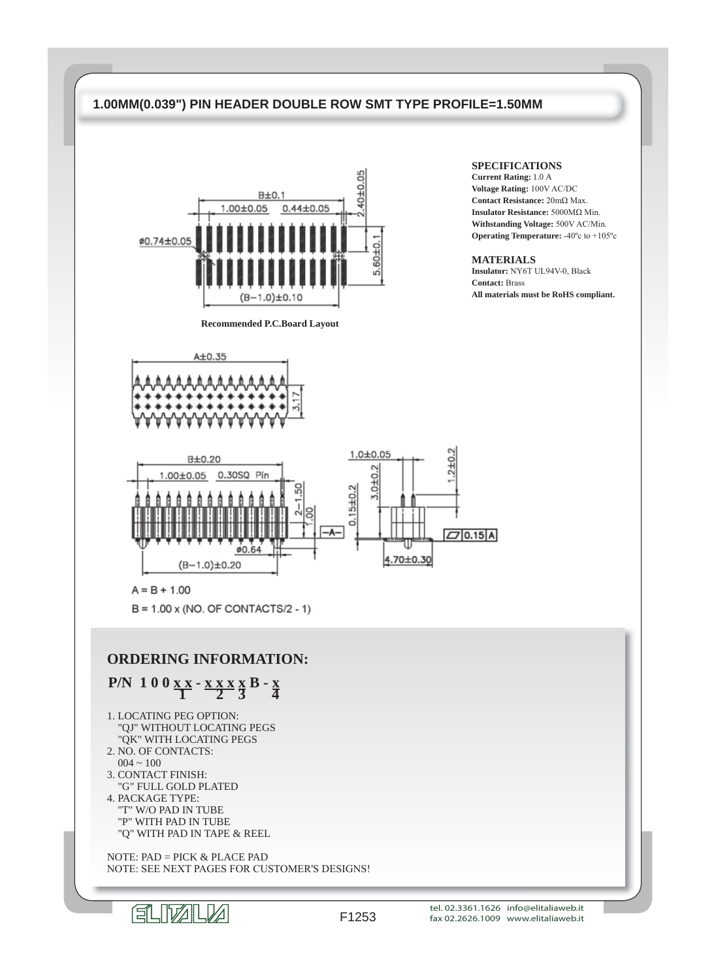

**Recommended P.C.Board Layout**

### **SPECIFICATIONS**

**Current Rating:** 1.0 A **Voltage Rating:** 100V AC/DC **Contact Resistance:** 20mΩ Max. **Insulator Resistance:** 5000MΩ Min. **Withstanding Voltage:** 500V AC/Min. **Operating Temperature:** -40ºc to +105ºc

### **MATERIALS**

**Insulator:** NY6T UL94V-0, Black **Contact:** Brass **All materials must be RoHS compliant.**





 $A = B + 1.00$ 

 $B = 1.00 \times (NO. OF CONTACTS/2 - 1)$ 

## **ORDERING INFORMATION:**

# **P/N** 1 0 0  $x \times x \times x \times x$  B -  $\frac{x}{4}$

- 1. LOCATING PEG OPTION: "QJ" WITHOUT LOCATING PEGS "QK" WITH LOCATING PEGS
- 2. NO. OF CONTACTS:
- $004 \sim 100$
- 3. CONTACT FINISH: "G" FULL GOLD PLATED
- 4. PACKAGE TYPE: "T" W/O PAD IN TUBE "P" WITH PAD IN TUBE "Q" WITH PAD IN TAPE & REEL

 NOTE: PAD = PICK & PLACE PAD NOTE: SEE NEXT PAGES FOR CUSTOMER'S DESIGNS!



tel. 02.3361.1626 info@elitaliaweb.it fax 02.2626.1009 www.elitaliaweb.it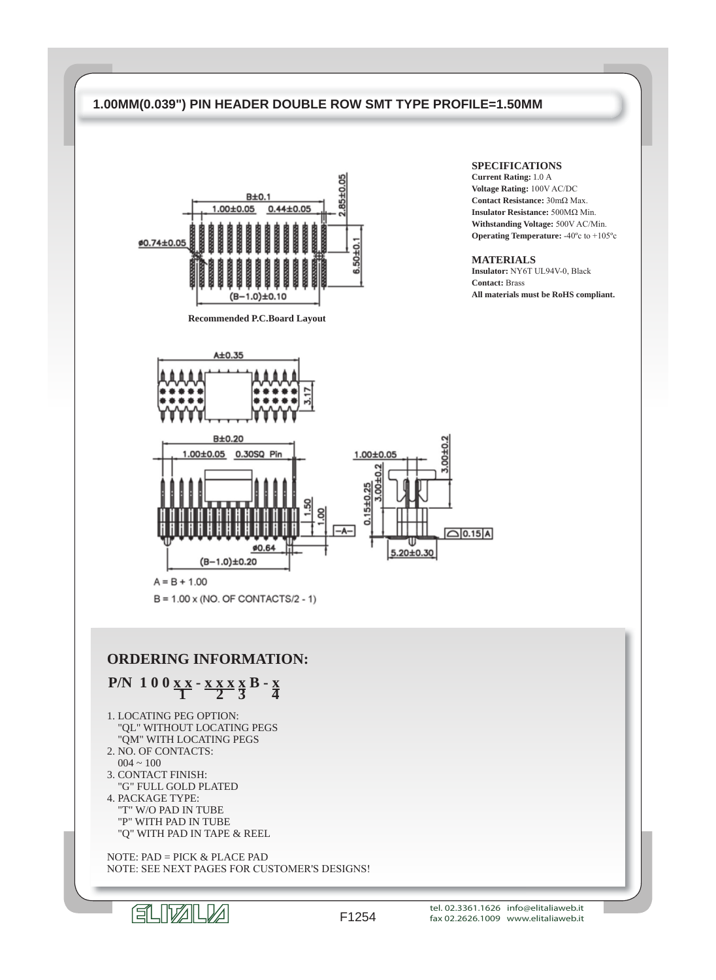

**Recommended P.C.Board Layout**

### **SPECIFICATIONS**

**Current Rating:** 1.0 A **Voltage Rating:** 100V AC/DC **Contact Resistance:** 30mΩ Max. **Insulator Resistance:** 500MΩ Min. **Withstanding Voltage:** 500V AC/Min. **Operating Temperature:** -40ºc to +105ºc

### **MATERIALS**

**Insulator:** NY6T UL94V-0, Black **Contact:** Brass **All materials must be RoHS compliant.**



## **ORDERING INFORMATION:**

# **P/N** 1 0 0  $\frac{X X - X X X X}{1}$   $\frac{X X}{2}$   $\frac{X}{3}$   $\frac{X}{4}$

- 1. LOCATING PEG OPTION: "QL" WITHOUT LOCATING PEGS "QM" WITH LOCATING PEGS
- 2. NO. OF CONTACTS:
- $004 \sim 100$
- 3. CONTACT FINISH: "G" FULL GOLD PLATED
- 4. PACKAGE TYPE: "T" W/O PAD IN TUBE "P" WITH PAD IN TUBE "Q" WITH PAD IN TAPE & REEL

 NOTE: PAD = PICK & PLACE PAD NOTE: SEE NEXT PAGES FOR CUSTOMER'S DESIGNS!



tel. 02.3361.1626 info@elitaliaweb.it fax 02.2626.1009 www.elitaliaweb.it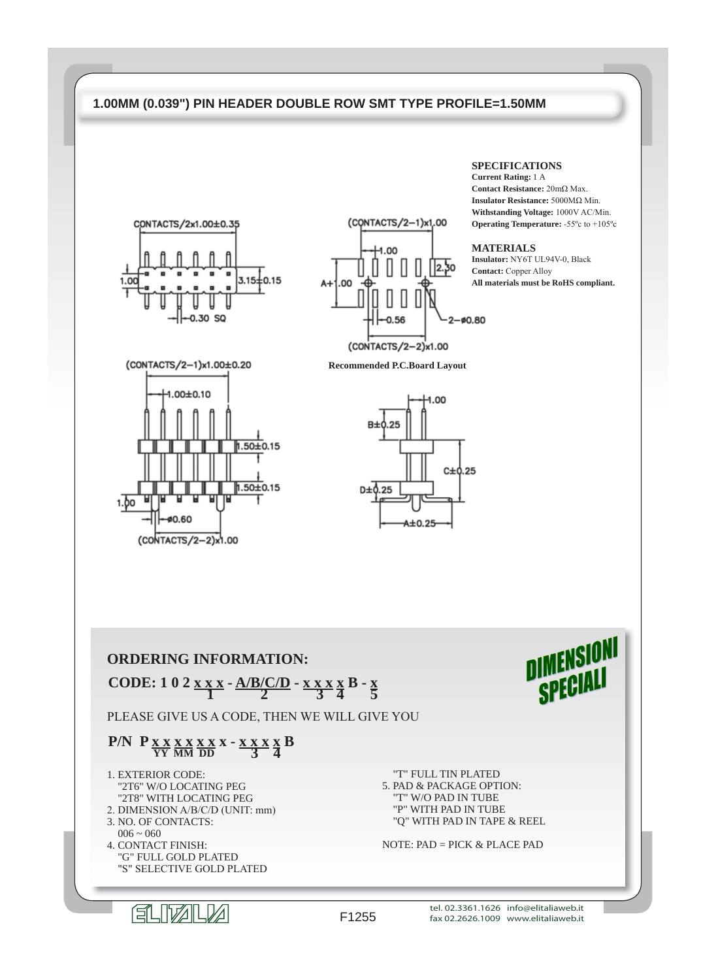



**Recommended P.C.Board Layout**





## **ORDERING INFORMATION: CODE:** 1 0 2 x x x -  $\frac{A/B(C/D)}{2}$  - x x x x B - x

PLEASE GIVE US A CODE, THEN WE WILL GIVE YOU

# **P/N P** <u>**x x x x x x x x x z B z b 3 d b**</u>

- 1. EXTERIOR CODE: "2T6" W/O LOCATING PEG "2T8" WITH LOCATING PEG 2. DIMENSION A/B/C/D (UNIT: mm)
- 3. NO. OF CONTACTS:
- $006 \sim 060$
- 4. CONTACT FINISH: "G" FULL GOLD PLATED "S" SELECTIVE GOLD PLATED

 "T" FULL TIN PLATED 5. PAD & PACKAGE OPTION: "T" W/O PAD IN TUBE "P" WITH PAD IN TUBE "Q" WITH PAD IN TAPE & REEL

NOTE:  $PAD = PICK & PLACE$  PAD

#### **SPECIFICATIONS Current Rating:** 1 A

**Contact Resistance:** 20mΩ Max. **Insulator Resistance:** 5000MΩ Min. **Withstanding Voltage:** 1000V AC/Min. **Operating Temperature:** -55ºc to +105ºc

### **MATERIALS**

**Insulator:** NY6T UL94V-0, Black **Contact:** Copper Alloy **All materials must be RoHS compliant.**

DIMENSIONI

SPECIA

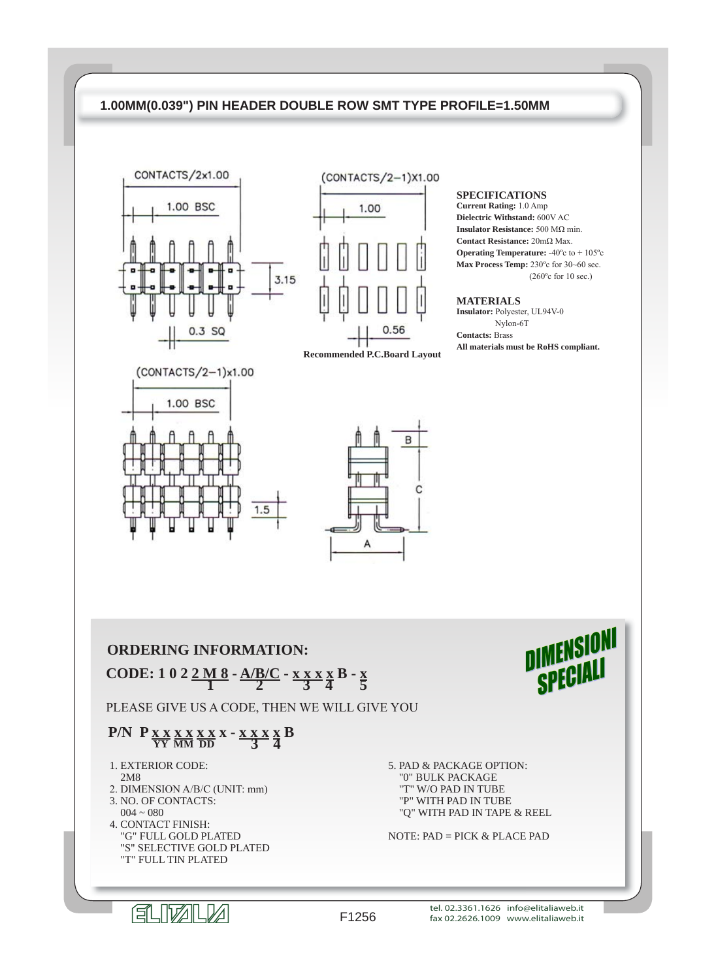



**SPECIFICATIONS**

**Current Rating:** 1.0 Amp **Dielectric Withstand:** 600V AC **Insulator Resistance:** 500 MΩ min. **Contact Resistance:** 20mΩ Max. **Operating Temperature:** -40ºc to + 105ºc **Max Process Temp:** 230ºc for 30~60 sec. (260ºc for 10 sec.)

### **MATERIALS**

**Insulator:** Polyester, UL94V-0 Nylon-6T **Contacts:** Brass **All materials must be RoHS compliant.**

DIMENSION

SPECIA





## **ORDERING INFORMATION: CODE:** 1 0 2  $\frac{2 \text{ M } 8}{1}$  -  $\frac{\text{A/B/C}}{2}$  -  $\frac{\text{X X X X B}}{3}$  +  $\frac{\text{X B}}{5}$

PLEASE GIVE US A CODE, THEN WE WILL GIVE YOU

# **P/N** P  $\frac{X \times X \times X \times X}{YY} \times \frac{X \times Y}{Y} \times \frac{X \times Y}{3} \times \frac{X}{4}$

- 1. EXTERIOR CODE: 2M8
- 2. DIMENSION A/B/C (UNIT: mm)
- 3. NO. OF CONTACTS:  $004 \sim 080$  4. CONTACT FINISH: "G" FULL GOLD PLATED "S" SELECTIVE GOLD PLATED "T" FULL TIN PLATED

5. PAD & PACKAGE OPTION: "0" BULK PACKAGE "T" W/O PAD IN TUBE "P" WITH PAD IN TUBE "Q" WITH PAD IN TAPE & REEL

NOTE:  $PAD = PICK & PLACE$  PAD

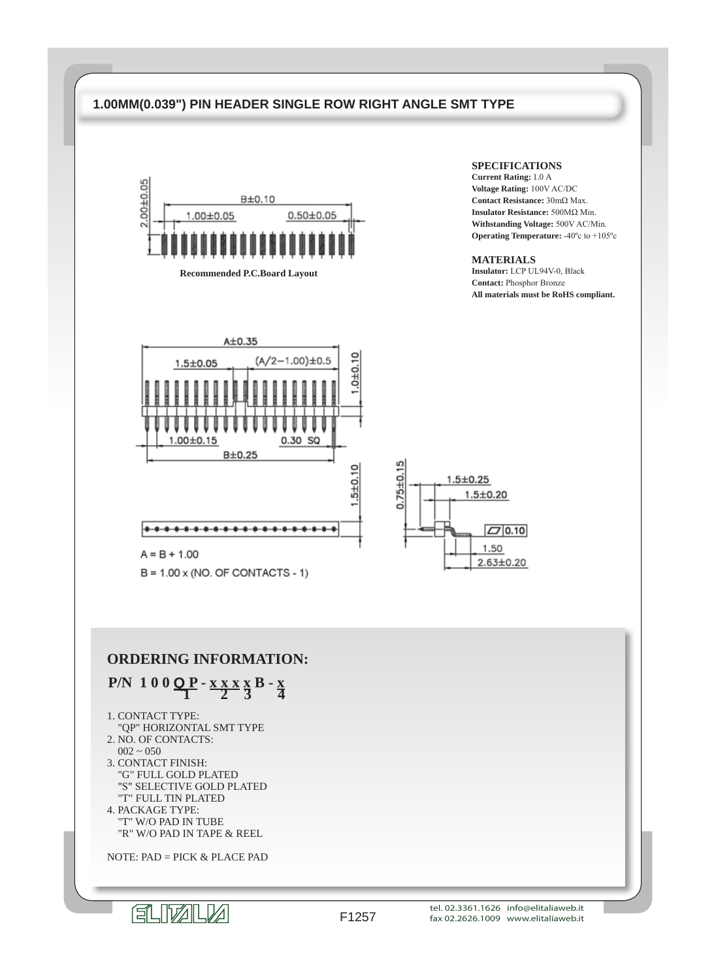## **1.00MM(0.039") PIN HEADER SINGLE ROW RIGHT ANGLE SMT TYPE**



**Recommended P.C.Board Layout**

### **SPECIFICATIONS**

**Current Rating:** 1.0 A **Voltage Rating:** 100V AC/DC **Contact Resistance:** 30mΩ Max. **Insulator Resistance:** 500MΩ Min. **Withstanding Voltage:** 500V AC/Min. **Operating Temperature:** -40ºc to +105ºc

### **MATERIALS**

**Insulator:** LCP UL94V-0, Black **Contact:** Phosphor Bronze **All materials must be RoHS compliant.**



 $B = 1.00 \times (NO. OF CONTACTS - 1)$ 

# **ORDERING INFORMATION:**

# **P/N** 1 0 0  $Q$  **P** -  $x x x x B - x$

- 1. CONTACT TYPE:
- "QP" HORIZONTAL SMT TYPE 2. NO. OF CONTACTS:
- $002 \sim 050$
- 3. CONTACT FINISH: "G" FULL GOLD PLATED "S" SELECTIVE GOLD PLATED "T" FULL TIN PLATED
- 4. PACKAGE TYPE: "T" W/O PAD IN TUBE "R" W/O PAD IN TAPE & REEL

NOTE: PAD = PICK & PLACE PAD



# FLIVALV